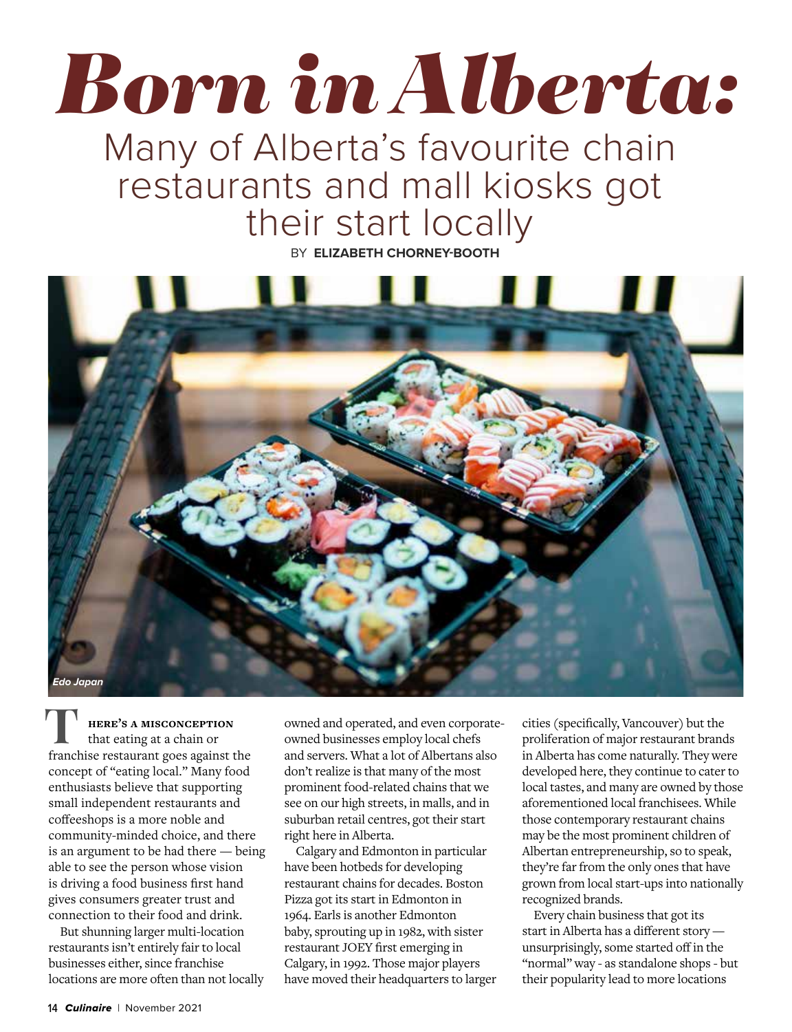## *Born in Alberta:*

## Many of Alberta's favourite chain restaurants and mall kiosks got their start locally

BY **ELIZABETH CHORNEY-BOOTH**



**HERE'S A MISCONCEPTION** that eating at a chain or franchise restaurant goes against the concept of "eating local." Many food enthusiasts believe that supporting small independent restaurants and coffeeshops is a more noble and community-minded choice, and there is an argument to be had there — being able to see the person whose vision is driving a food business first hand gives consumers greater trust and connection to their food and drink.

But shunning larger multi-location restaurants isn't entirely fair to local businesses either, since franchise locations are more often than not locally owned and operated, and even corporateowned businesses employ local chefs and servers. What a lot of Albertans also don't realize is that many of the most prominent food-related chains that we see on our high streets, in malls, and in suburban retail centres, got their start right here in Alberta.

Calgary and Edmonton in particular have been hotbeds for developing restaurant chains for decades. Boston Pizza got its start in Edmonton in 1964. Earls is another Edmonton baby, sprouting up in 1982, with sister restaurant JOEY first emerging in Calgary, in 1992. Those major players have moved their headquarters to larger

cities (specifically, Vancouver) but the proliferation of major restaurant brands in Alberta has come naturally. They were developed here, they continue to cater to local tastes, and many are owned by those aforementioned local franchisees. While those contemporary restaurant chains may be the most prominent children of Albertan entrepreneurship, so to speak, they're far from the only ones that have grown from local start-ups into nationally recognized brands.

Every chain business that got its start in Alberta has a different story unsurprisingly, some started off in the "normal" way - as standalone shops - but their popularity lead to more locations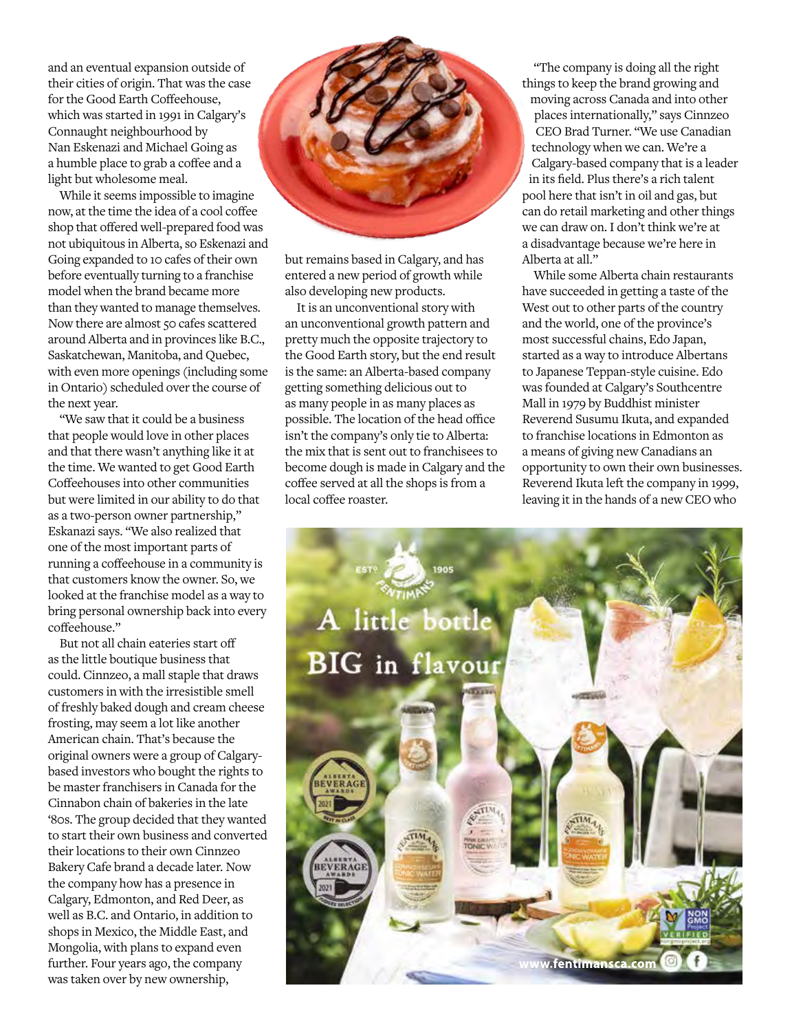and an eventual expansion outside of their cities of origin. That was the case for the Good Earth Coffeehouse, which was started in 1991 in Calgary's Connaught neighbourhood by Nan Eskenazi and Michael Going as a humble place to grab a coffee and a light but wholesome meal.

While it seems impossible to imagine now, at the time the idea of a cool coffee shop that offered well-prepared food was not ubiquitous in Alberta, so Eskenazi and Going expanded to 10 cafes of their own before eventually turning to a franchise model when the brand became more than they wanted to manage themselves. Now there are almost 50 cafes scattered around Alberta and in provinces like B.C., Saskatchewan, Manitoba, and Quebec, with even more openings (including some in Ontario) scheduled over the course of the next year.

"We saw that it could be a business that people would love in other places and that there wasn't anything like it at the time. We wanted to get Good Earth Coffeehouses into other communities but were limited in our ability to do that as a two-person owner partnership," Eskanazi says. "We also realized that one of the most important parts of running a coffeehouse in a community is that customers know the owner. So, we looked at the franchise model as a way to bring personal ownership back into every coffeehouse."

But not all chain eateries start off as the little boutique business that could. Cinnzeo, a mall staple that draws customers in with the irresistible smell of freshly baked dough and cream cheese frosting, may seem a lot like another American chain. That's because the original owners were a group of Calgarybased investors who bought the rights to be master franchisers in Canada for the Cinnabon chain of bakeries in the late '80s. The group decided that they wanted to start their own business and converted their locations to their own Cinnzeo Bakery Cafe brand a decade later. Now the company how has a presence in Calgary, Edmonton, and Red Deer, as well as B.C. and Ontario, in addition to shops in Mexico, the Middle East, and Mongolia, with plans to expand even further. Four years ago, the company was taken over by new ownership,



but remains based in Calgary, and has entered a new period of growth while also developing new products.

It is an unconventional story with an unconventional growth pattern and pretty much the opposite trajectory to the Good Earth story, but the end result is the same: an Alberta-based company getting something delicious out to as many people in as many places as possible. The location of the head office isn't the company's only tie to Alberta: the mix that is sent out to franchisees to become dough is made in Calgary and the coffee served at all the shops is from a local coffee roaster.

"The company is doing all the right things to keep the brand growing and moving across Canada and into other places internationally," says Cinnzeo CEO Brad Turner. "We use Canadian technology when we can. We're a Calgary-based company that is a leader in its field. Plus there's a rich talent pool here that isn't in oil and gas, but can do retail marketing and other things we can draw on. I don't think we're at a disadvantage because we're here in Alberta at all."

While some Alberta chain restaurants have succeeded in getting a taste of the West out to other parts of the country and the world, one of the province's most successful chains, Edo Japan, started as a way to introduce Albertans to Japanese Teppan-style cuisine. Edo was founded at Calgary's Southcentre Mall in 1979 by Buddhist minister Reverend Susumu Ikuta, and expanded to franchise locations in Edmonton as a means of giving new Canadians an opportunity to own their own businesses. Reverend Ikuta left the company in 1999, leaving it in the hands of a new CEO who